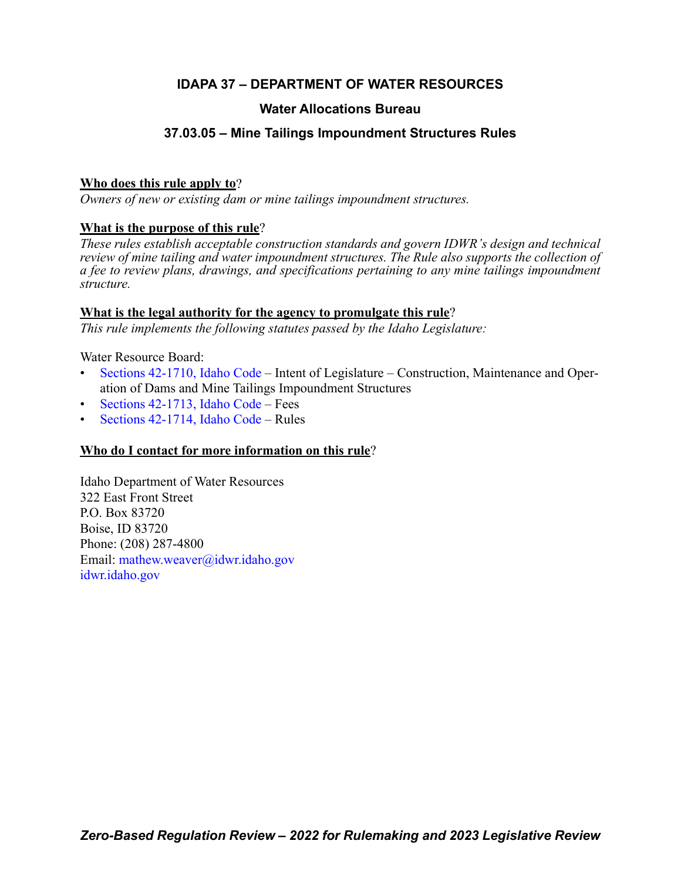# **IDAPA 37 – DEPARTMENT OF WATER RESOURCES**

# **Water Allocations Bureau**

# **37.03.05 – Mine Tailings Impoundment Structures Rules**

### **Who does this rule apply to**?

*Owners of new or existing dam or mine tailings impoundment structures.*

### **What is the purpose of this rule**?

*These rules establish acceptable construction standards and govern IDWR's design and technical review of mine tailing and water impoundment structures. The Rule also supports the collection of a fee to review plans, drawings, and specifications pertaining to any mine tailings impoundment structure.*

### **What is the legal authority for the agency to promulgate this rule**?

*This rule implements the following statutes passed by the Idaho Legislature:*

### Water Resource Board:

- [Sections 42-1710, Idaho Code](https://legislature.idaho.gov/statutesrules/idstat/Title42/T42CH17/SECT42-1710/) Intent of Legislature Construction, Maintenance and Operation of Dams and Mine Tailings Impoundment Structures
- [Sections 42-1713, Idaho Code](https://legislature.idaho.gov/statutesrules/idstat/Title42/T42CH17/SECT42-1713/) Fees
- [Sections 42-1714, Idaho Code](https://legislature.idaho.gov/statutesrules/idstat/Title42/T42CH17/SECT42-1714/) Rules

# **Who do I contact for more information on this rule**?

Idaho Department of Water Resources 322 East Front Street P.O. Box 83720 Boise, ID 83720 Phone: (208) 287-4800 Email[: mathew.weaver@idwr.idaho.gov](mailto: mathew.weaver@idwr.idaho.gov) [idwr.idaho.gov](https://.idwr.idaho.gov)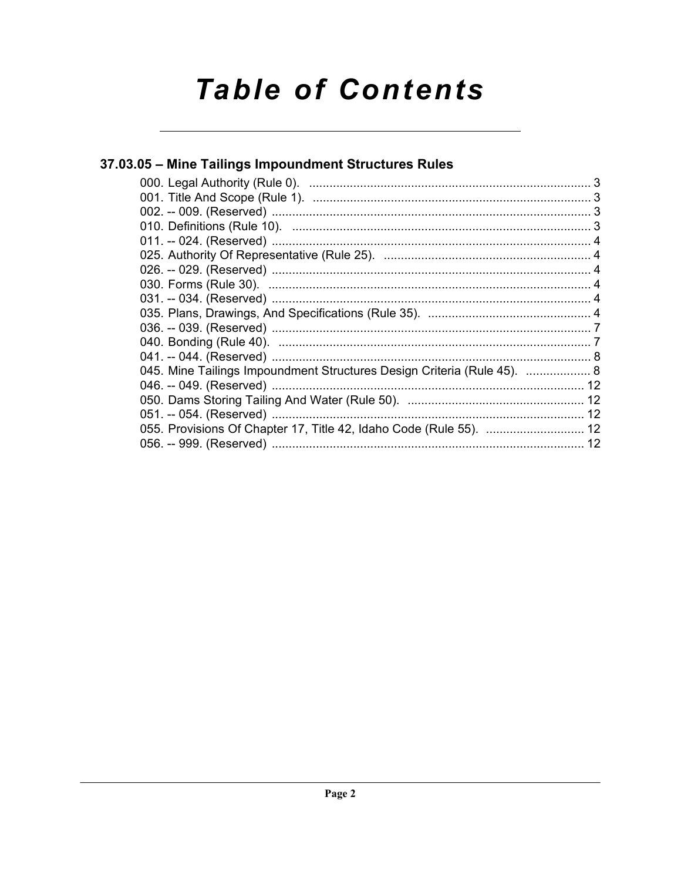# **Table of Contents**

# 37.03.05 - Mine Tailings Impoundment Structures Rules 045. Mine Tailings Impoundment Structures Design Criteria (Rule 45). ................... 8 055. Provisions Of Chapter 17, Title 42, Idaho Code (Rule 55). ............................. 12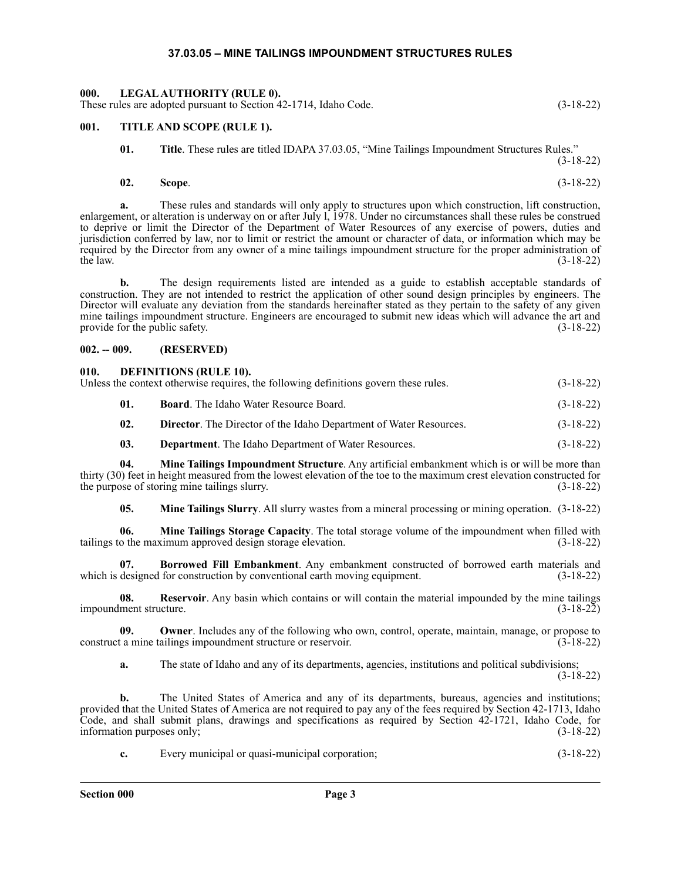### **37.03.05 – MINE TAILINGS IMPOUNDMENT STRUCTURES RULES**

### <span id="page-2-1"></span><span id="page-2-0"></span>**000. LEGAL AUTHORITY (RULE 0).** These rules are adopted pursuant to Section 42-1714, Idaho Code. (3-18-22)

### <span id="page-2-2"></span>**001. TITLE AND SCOPE (RULE 1).**

**01. Title**. These rules are titled IDAPA 37.03.05, "Mine Tailings Impoundment Structures Rules." (3-18-22)

# **02. Scope**. (3-18-22)

**a.** These rules and standards will only apply to structures upon which construction, lift construction, enlargement, or alteration is underway on or after July 1,  $1978$ . Under no circumstances shall these rules be construed to deprive or limit the Director of the Department of Water Resources of any exercise of powers, duties and jurisdiction conferred by law, nor to limit or restrict the amount or character of data, or information which may be required by the Director from any owner of a mine tailings impoundment structure for the proper administration of the law.  $(3-18-22)$ 

**b.** The design requirements listed are intended as a guide to establish acceptable standards of construction. They are not intended to restrict the application of other sound design principles by engineers. The Director will evaluate any deviation from the standards hereinafter stated as they pertain to the safety of any given mine tailings impoundment structure. Engineers are encouraged to submit new ideas which will advance the art and provide for the public safety. (3-18-22)

### <span id="page-2-3"></span>**002. -- 009. (RESERVED)**

# <span id="page-2-4"></span>**010. DEFINITIONS (RULE 10).**

| Unless the context otherwise requires, the following definitions govern these rules. | $(3-18-22)$                                                               |             |
|--------------------------------------------------------------------------------------|---------------------------------------------------------------------------|-------------|
|                                                                                      | <b>Board.</b> The Idaho Water Resource Board.                             | $(3-18-22)$ |
|                                                                                      | <b>Director.</b> The Director of the Idaho Department of Water Resources. | $(3-18-22)$ |

**03. Department**. The Idaho Department of Water Resources. (3-18-22)

**04. Mine Tailings Impoundment Structure**. Any artificial embankment which is or will be more than thirty (30) feet in height measured from the lowest elevation of the toe to the maximum crest elevation constructed for the purpose of storing mine tailings slurry. (3-18-22)

**05. Mine Tailings Slurry**. All slurry wastes from a mineral processing or mining operation. (3-18-22)

**06. Mine Tailings Storage Capacity**. The total storage volume of the impoundment when filled with tailings to the maximum approved design storage elevation. (3-18-22)

**07. Borrowed Fill Embankment**. Any embankment constructed of borrowed earth materials and which is designed for construction by conventional earth moving equipment. (3-18-22)

**08.** Reservoir. Any basin which contains or will contain the material impounded by the mine tailings ment structure. (3-18-22) impoundment structure.

**09. Owner**. Includes any of the following who own, control, operate, maintain, manage, or propose to construct a mine tailings impoundment structure or reservoir. (3-18-22)

**a.** The state of Idaho and any of its departments, agencies, institutions and political subdivisions; (3-18-22)

**b.** The United States of America and any of its departments, bureaus, agencies and institutions; provided that the United States of America are not required to pay any of the fees required by Section 42-1713, Idaho Code, and shall submit plans, drawings and specifications as required by Section 42-1721, Idaho Code, for information purposes only; (3-18-22)

**c.** Every municipal or quasi-municipal corporation; (3-18-22)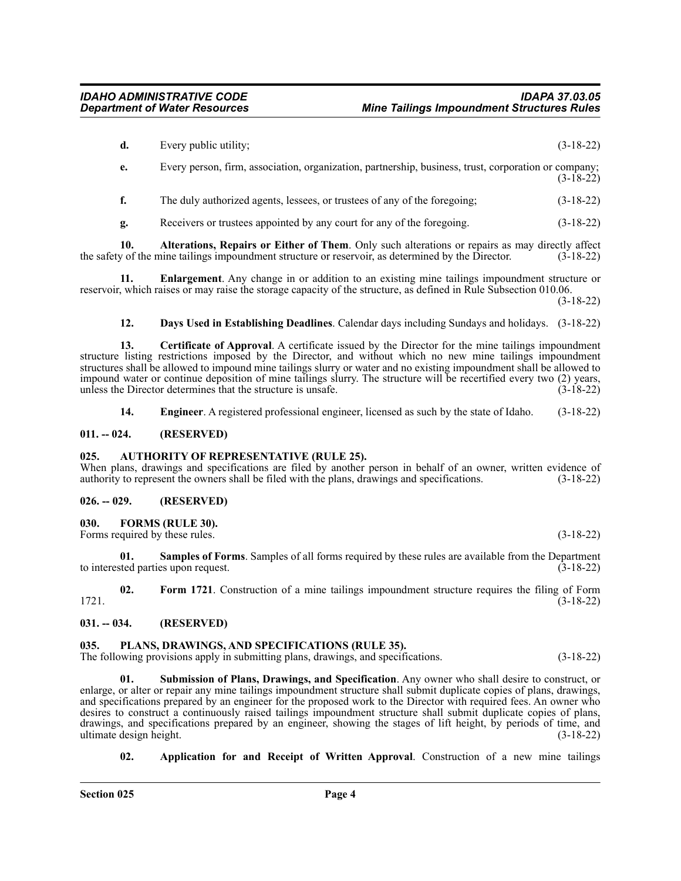| d. | Every public utility;                                                                                | $(3-18-22)$ |
|----|------------------------------------------------------------------------------------------------------|-------------|
| e. | Every person, firm, association, organization, partnership, business, trust, corporation or company; | $(3-18-22)$ |
|    | The duly authorized agents, lessees, or trustees of any of the foregoing;                            | $(3-18-22)$ |
| g. | Receivers or trustees appointed by any court for any of the foregoing.                               | $(3-18-22)$ |

**10. Alterations, Repairs or Either of Them**. Only such alterations or repairs as may directly affect the safety of the mine tailings impoundment structure or reservoir, as determined by the Director. (3-18-22)

**11. Enlargement**. Any change in or addition to an existing mine tailings impoundment structure or reservoir, which raises or may raise the storage capacity of the structure, as defined in Rule Subsection 010.06.

(3-18-22)

**12. Days Used in Establishing Deadlines**. Calendar days including Sundays and holidays. (3-18-22)

**13. Certificate of Approval**. A certificate issued by the Director for the mine tailings impoundment structure listing restrictions imposed by the Director, and without which no new mine tailings impoundment structures shall be allowed to impound mine tailings slurry or water and no existing impoundment shall be allowed to impound water or continue deposition of mine tailings slurry. The structure will be recertified every two (2) years, unless the Director determines that the structure is unsafe. (3-18-22)

**14. Engineer**. A registered professional engineer, licensed as such by the state of Idaho. (3-18-22)

### <span id="page-3-0"></span>**011. -- 024. (RESERVED)**

### <span id="page-3-1"></span>**025. AUTHORITY OF REPRESENTATIVE (RULE 25).**

When plans, drawings and specifications are filed by another person in behalf of an owner, written evidence of authority to represent the owners shall be filed with the plans, drawings and specifications. (3-18-22)

### <span id="page-3-2"></span>**026. -- 029. (RESERVED)**

### <span id="page-3-3"></span>**030. FORMS (RULE 30).**

Forms required by these rules. (3-18-22)

**01. Samples of Forms**. Samples of all forms required by these rules are available from the Department ted parties upon request. (3-18-22) to interested parties upon request.

**02. Form 1721**. Construction of a mine tailings impoundment structure requires the filing of Form 1721. (3-18-22)

### <span id="page-3-4"></span>**031. -- 034. (RESERVED)**

### <span id="page-3-5"></span>**035. PLANS, DRAWINGS, AND SPECIFICATIONS (RULE 35).**

The following provisions apply in submitting plans, drawings, and specifications. (3-18-22)

**01. Submission of Plans, Drawings, and Specification**. Any owner who shall desire to construct, or enlarge, or alter or repair any mine tailings impoundment structure shall submit duplicate copies of plans, drawings, and specifications prepared by an engineer for the proposed work to the Director with required fees. An owner who desires to construct a continuously raised tailings impoundment structure shall submit duplicate copies of plans, drawings, and specifications prepared by an engineer, showing the stages of lift height, by periods of time, and ultimate design height. (3-18-22)

**02. Application for and Receipt of Written Approval**. Construction of a new mine tailings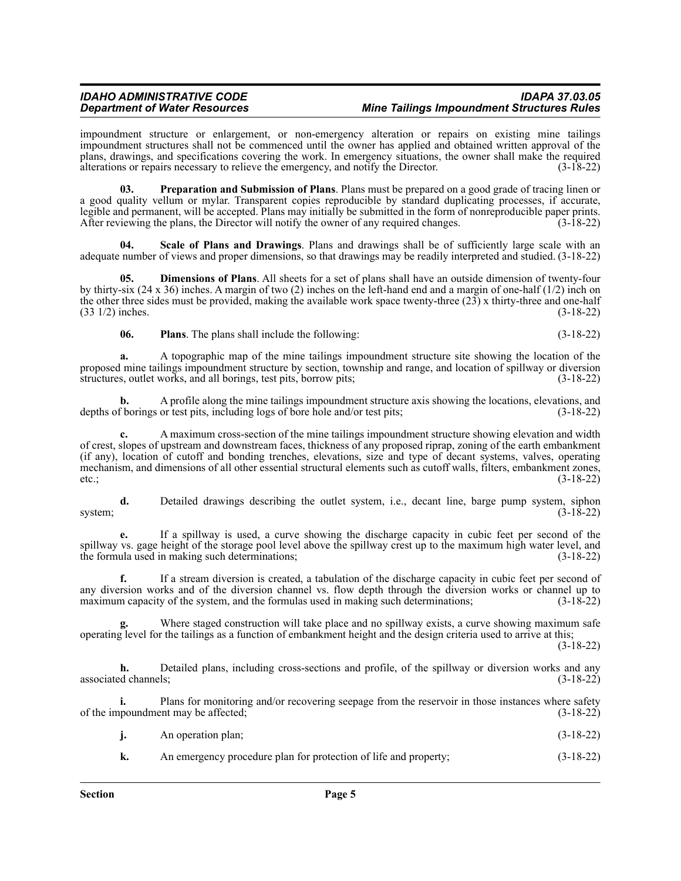### *IDAHO ADMINISTRATIVE CODE IDAPA 37.03.05 Mine Tailings Impoundment Structures Rules*

impoundment structure or enlargement, or non-emergency alteration or repairs on existing mine tailings impoundment structures shall not be commenced until the owner has applied and obtained written approval of the plans, drawings, and specifications covering the work. In emergency situations, the owner shall make the required alterations or repairs necessary to relieve the emergency, and notify the Director. (3-18-22) alterations or repairs necessary to relieve the emergency, and notify the Director.

**03. Preparation and Submission of Plans**. Plans must be prepared on a good grade of tracing linen or a good quality vellum or mylar. Transparent copies reproducible by standard duplicating processes, if accurate, legible and permanent, will be accepted. Plans may initially be submitted in the form of nonreproducible paper prints. After reviewing the plans, the Director will notify the owner of any required changes. (3-18-22)

**04. Scale of Plans and Drawings**. Plans and drawings shall be of sufficiently large scale with an adequate number of views and proper dimensions, so that drawings may be readily interpreted and studied. (3-18-22)

**05. Dimensions of Plans**. All sheets for a set of plans shall have an outside dimension of twenty-four by thirty-six (24 x 36) inches. A margin of two (2) inches on the left-hand end and a margin of one-half (1/2) inch on the other three sides must be provided, making the available work space twenty-three  $(23)$  x thirty-three and one-half  $(33 \frac{1}{2})$  inches.  $(3-18-22)$  $(33 \frac{1}{2})$  inches.

**06. Plans**. The plans shall include the following: (3-18-22)

**a.** A topographic map of the mine tailings impoundment structure site showing the location of the proposed mine tailings impoundment structure by section, township and range, and location of spillway or diversion structures, outlet works, and all borings, test pits, borrow pits; structures, outlet works, and all borings, test pits, borrow pits;

**b.** A profile along the mine tailings impoundment structure axis showing the locations, elevations, and f borings or test pits, including logs of bore hole and/or test pits; (3-18-22) depths of borings or test pits, including logs of bore hole and/or test pits;

**c.** A maximum cross-section of the mine tailings impoundment structure showing elevation and width of crest, slopes of upstream and downstream faces, thickness of any proposed riprap, zoning of the earth embankment (if any), location of cutoff and bonding trenches, elevations, size and type of decant systems, valves, operating mechanism, and dimensions of all other essential structural elements such as cutoff walls, filters, embankment zones, etc.;  $(3-18-22)$ 

**d.** Detailed drawings describing the outlet system, i.e., decant line, barge pump system, siphon (3-18-22) system;  $(3-18-22)$ 

**e.** If a spillway is used, a curve showing the discharge capacity in cubic feet per second of the spillway vs. gage height of the storage pool level above the spillway crest up to the maximum high water level, and the formula used in making such determinations; (3-18-22)

**f.** If a stream diversion is created, a tabulation of the discharge capacity in cubic feet per second of any diversion works and of the diversion channel vs. flow depth through the diversion works or channel up to maximum capacity of the system, and the formulas used in making such determinations; (3-18-22)

Where staged construction will take place and no spillway exists, a curve showing maximum safe operating level for the tailings as a function of embankment height and the design criteria used to arrive at this;

(3-18-22)

**h.** Detailed plans, including cross-sections and profile, of the spillway or diversion works and any detailed channels; (3-18-22) associated channels;

**i.** Plans for monitoring and/or recovering seepage from the reservoir in those instances where safety of the impoundment may be affected; (3-18-22)

| j. | An operation plan; | $(3-18-22)$ |  |
|----|--------------------|-------------|--|
|----|--------------------|-------------|--|

**k.** An emergency procedure plan for protection of life and property;  $(3-18-22)$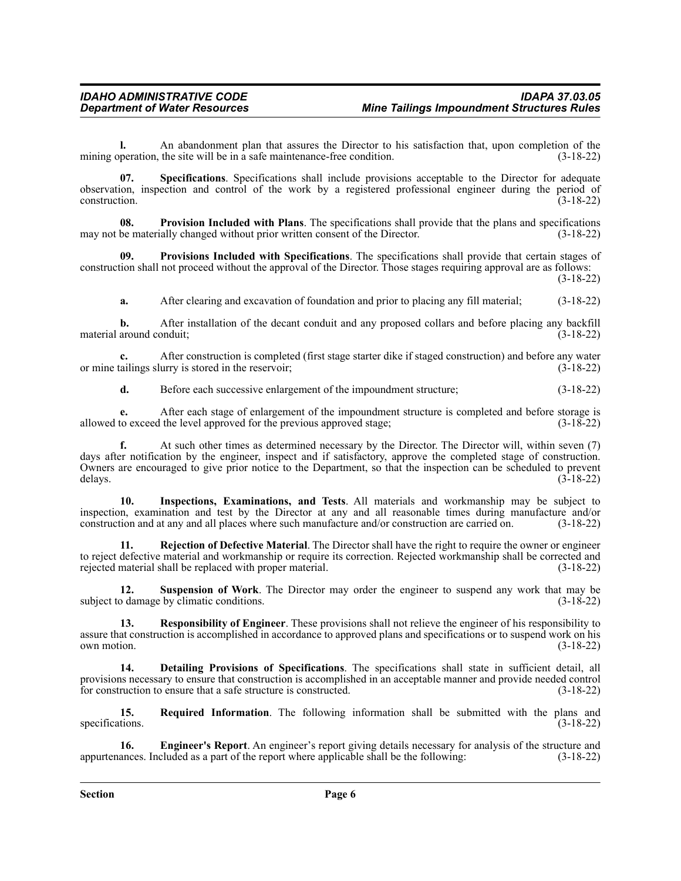**l.** An abandonment plan that assures the Director to his satisfaction that, upon completion of the mining operation, the site will be in a safe maintenance-free condition. (3-18-22)

**07. Specifications**. Specifications shall include provisions acceptable to the Director for adequate observation, inspection and control of the work by a registered professional engineer during the period of construction. (3-18-22)

**08. Provision Included with Plans**. The specifications shall provide that the plans and specifications may not be materially changed without prior written consent of the Director. (3-18-22)

**09. Provisions Included with Specifications**. The specifications shall provide that certain stages of construction shall not proceed without the approval of the Director. Those stages requiring approval are as follows:

(3-18-22)

**a.** After clearing and excavation of foundation and prior to placing any fill material; (3-18-22)

**b.** After installation of the decant conduit and any proposed collars and before placing any backfill material around conduit; (3-18-22)

After construction is completed (first stage starter dike if staged construction) and before any water urry is stored in the reservoir;  $(3-18-22)$ or mine tailings slurry is stored in the reservoir;

**d.** Before each successive enlargement of the impoundment structure; (3-18-22)

**e.** After each stage of enlargement of the impoundment structure is completed and before storage is allowed to exceed the level approved for the previous approved stage;  $(3-18-22)$ 

**f.** At such other times as determined necessary by the Director. The Director will, within seven (7) days after notification by the engineer, inspect and if satisfactory, approve the completed stage of construction. Owners are encouraged to give prior notice to the Department, so that the inspection can be scheduled to prevent delays.  $(3-18-22)$ 

**10. Inspections, Examinations, and Tests**. All materials and workmanship may be subject to inspection, examination and test by the Director at any and all reasonable times during manufacture and/or construction and at any and all places where such manufacture and/or construction are carried on. (3-18-22)

**11. Rejection of Defective Material**. The Director shall have the right to require the owner or engineer to reject defective material and workmanship or require its correction. Rejected workmanship shall be corrected and rejected material shall be replaced with proper material. (3-18-22) rejected material shall be replaced with proper material.

**12. Suspension of Work**. The Director may order the engineer to suspend any work that may be subject to damage by climatic conditions. (3-18-22)

**13. Responsibility of Engineer**. These provisions shall not relieve the engineer of his responsibility to assure that construction is accomplished in accordance to approved plans and specifications or to suspend work on his own motion.  $(3-18-22)$ 

**14. Detailing Provisions of Specifications**. The specifications shall state in sufficient detail, all provisions necessary to ensure that construction is accomplished in an acceptable manner and provide needed control for construction to ensure that a safe structure is constructed. (3-18-22)

**15. Required Information**. The following information shall be submitted with the plans and (3-18-22) specifications.

**16. Engineer's Report**. An engineer's report giving details necessary for analysis of the structure and appurtenances. Included as a part of the report where applicable shall be the following: (3-18-22)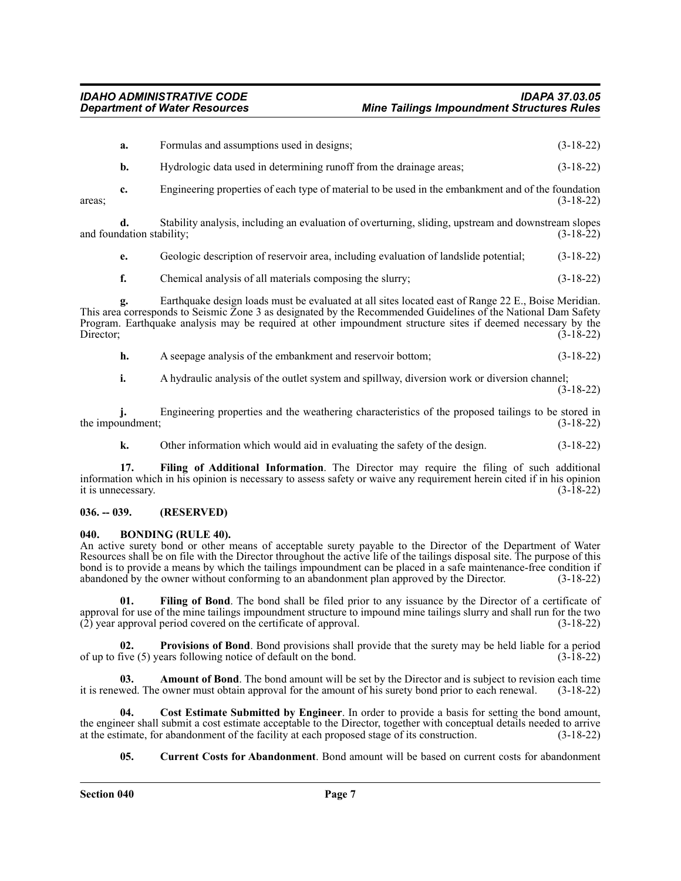|                                                                                                                                                                                                                                                                                                                                                                         | a.                              | Formulas and assumptions used in designs;                                                           | $(3-18-22)$ |  |
|-------------------------------------------------------------------------------------------------------------------------------------------------------------------------------------------------------------------------------------------------------------------------------------------------------------------------------------------------------------------------|---------------------------------|-----------------------------------------------------------------------------------------------------|-------------|--|
|                                                                                                                                                                                                                                                                                                                                                                         | b.                              | Hydrologic data used in determining runoff from the drainage areas;                                 | $(3-18-22)$ |  |
| areas:                                                                                                                                                                                                                                                                                                                                                                  | c.                              | Engineering properties of each type of material to be used in the embankment and of the foundation  | $(3-18-22)$ |  |
|                                                                                                                                                                                                                                                                                                                                                                         | d.<br>and foundation stability; | Stability analysis, including an evaluation of overturning, sliding, upstream and downstream slopes | $(3-18-22)$ |  |
|                                                                                                                                                                                                                                                                                                                                                                         | e.                              | Geologic description of reservoir area, including evaluation of landslide potential;                | $(3-18-22)$ |  |
|                                                                                                                                                                                                                                                                                                                                                                         | f.                              | Chemical analysis of all materials composing the slurry;                                            | $(3-18-22)$ |  |
| Earthquake design loads must be evaluated at all sites located east of Range 22 E., Boise Meridian.<br>g.<br>This area corresponds to Seismic Zone 3 as designated by the Recommended Guidelines of the National Dam Safety<br>Program. Earthquake analysis may be required at other impoundment structure sites if deemed necessary by the<br>Director;<br>$(3-18-22)$ |                                 |                                                                                                     |             |  |

**h.** A seepage analysis of the embankment and reservoir bottom; (3-18-22)

**i.** A hydraulic analysis of the outlet system and spillway, diversion work or diversion channel;

(3-18-22)

**j.** Engineering properties and the weathering characteristics of the proposed tailings to be stored in the impoundment;  $(3-18-22)$ 

**k.** Other information which would aid in evaluating the safety of the design.  $(3-18-22)$ 

**17. Filing of Additional Information**. The Director may require the filing of such additional information which in his opinion is necessary to assess safety or waive any requirement herein cited if in his opinion it is unnecessary. (3-18-22)

### <span id="page-6-0"></span>**036. -- 039. (RESERVED)**

### <span id="page-6-1"></span>**040. BONDING (RULE 40).**

An active surety bond or other means of acceptable surety payable to the Director of the Department of Water Resources shall be on file with the Director throughout the active life of the tailings disposal site. The purpose of this bond is to provide a means by which the tailings impoundment can be placed in a safe maintenance-free condition if abandoned by the owner without conforming to an abandonment plan approved by the Director. (3-18-22)

**01. Filing of Bond**. The bond shall be filed prior to any issuance by the Director of a certificate of approval for use of the mine tailings impoundment structure to impound mine tailings slurry and shall run for the two  $(2)$  year approval period covered on the certificate of approval.  $(3-18-22)$ 

**02. Provisions of Bond**. Bond provisions shall provide that the surety may be held liable for a period of up to five (5) years following notice of default on the bond. (3-18-22)

**03. Amount of Bond**. The bond amount will be set by the Director and is subject to revision each time it is renewed. The owner must obtain approval for the amount of his surety bond prior to each renewal. (3-18-22)

**04. Cost Estimate Submitted by Engineer**. In order to provide a basis for setting the bond amount, the engineer shall submit a cost estimate acceptable to the Director, together with conceptual details needed to arrive at the estimate, for abandonment of the facility at each proposed stage of its construction. (3-18-22) at the estimate, for abandonment of the facility at each proposed stage of its construction.

**05. Current Costs for Abandonment**. Bond amount will be based on current costs for abandonment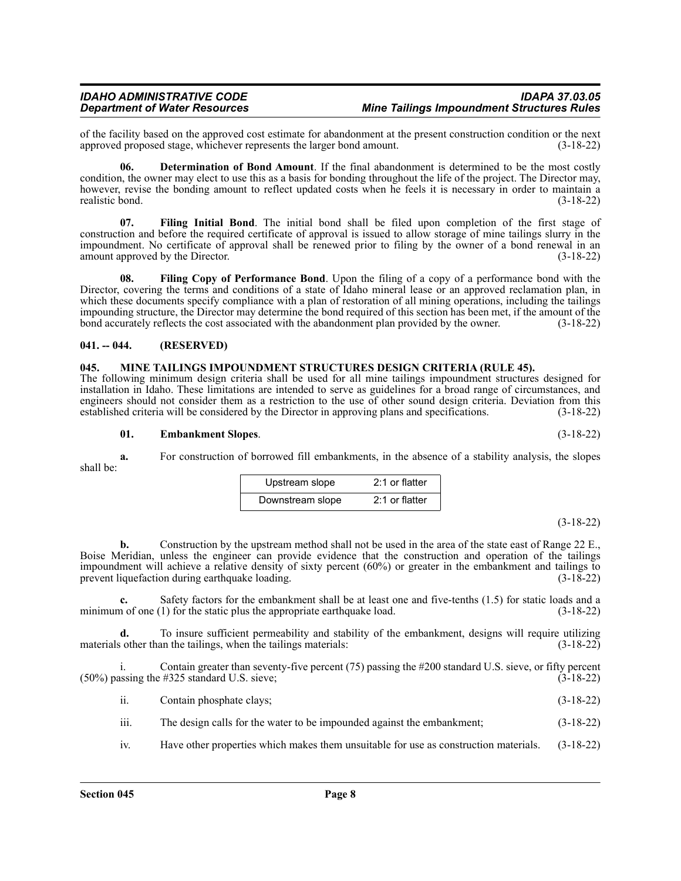of the facility based on the approved cost estimate for abandonment at the present construction condition or the next approved proposed stage, whichever represents the larger bond amount. (3-18-22) approved proposed stage, whichever represents the larger bond amount.

**06. Determination of Bond Amount**. If the final abandonment is determined to be the most costly condition, the owner may elect to use this as a basis for bonding throughout the life of the project. The Director may, however, revise the bonding amount to reflect updated costs when he feels it is necessary in order to maintain a realistic bond. (3-18-22) realistic bond.

**07. Filing Initial Bond**. The initial bond shall be filed upon completion of the first stage of construction and before the required certificate of approval is issued to allow storage of mine tailings slurry in the impoundment. No certificate of approval shall be renewed prior to filing by the owner of a bond renewal in an amount approved by the Director. (3-18-22)

**08. Filing Copy of Performance Bond**. Upon the filing of a copy of a performance bond with the Director, covering the terms and conditions of a state of Idaho mineral lease or an approved reclamation plan, in which these documents specify compliance with a plan of restoration of all mining operations, including the tailings impounding structure, the Director may determine the bond required of this section has been met, if the amount of the bond accurately reflects the cost associated with the abandonment plan provided by the owner. (3-18-22)

### <span id="page-7-0"></span>**041. -- 044. (RESERVED)**

### <span id="page-7-1"></span>**045. MINE TAILINGS IMPOUNDMENT STRUCTURES DESIGN CRITERIA (RULE 45).**

The following minimum design criteria shall be used for all mine tailings impoundment structures designed for installation in Idaho. These limitations are intended to serve as guidelines for a broad range of circumstances, and engineers should not consider them as a restriction to the use of other sound design criteria. Deviation from this established criteria will be considered by the Director in approving plans and specifications. (3-18-22) established criteria will be considered by the Director in approving plans and specifications.

### **01. Embankment Slopes**. (3-18-22)

**a.** For construction of borrowed fill embankments, in the absence of a stability analysis, the slopes shall be:

| Upstream slope   | $2:1$ or flatter |
|------------------|------------------|
| Downstream slope | $2:1$ or flatter |

### (3-18-22)

**b.** Construction by the upstream method shall not be used in the area of the state east of Range 22 E., Boise Meridian, unless the engineer can provide evidence that the construction and operation of the tailings impoundment will achieve a relative density of sixty percent (60%) or greater in the embankment and tailings to prevent liquefaction during earthquake loading. (3-18-22)

**c.** Safety factors for the embankment shall be at least one and five-tenths (1.5) for static loads and a n of one (1) for the static plus the appropriate earthquake load. (3-18-22) minimum of one  $(1)$  for the static plus the appropriate earthquake load.

**d.** To insure sufficient permeability and stability of the embankment, designs will require utilizing materials other than the tailings, when the tailings materials: (3-18-22)

i. Contain greater than seventy-five percent (75) passing the #200 standard U.S. sieve, or fifty percent  $(50\%)$  passing the #325 standard U.S. sieve;

ii. Contain phosphate clays; (3-18-22)

iii. The design calls for the water to be impounded against the embankment; (3-18-22)

iv. Have other properties which makes them unsuitable for use as construction materials. (3-18-22)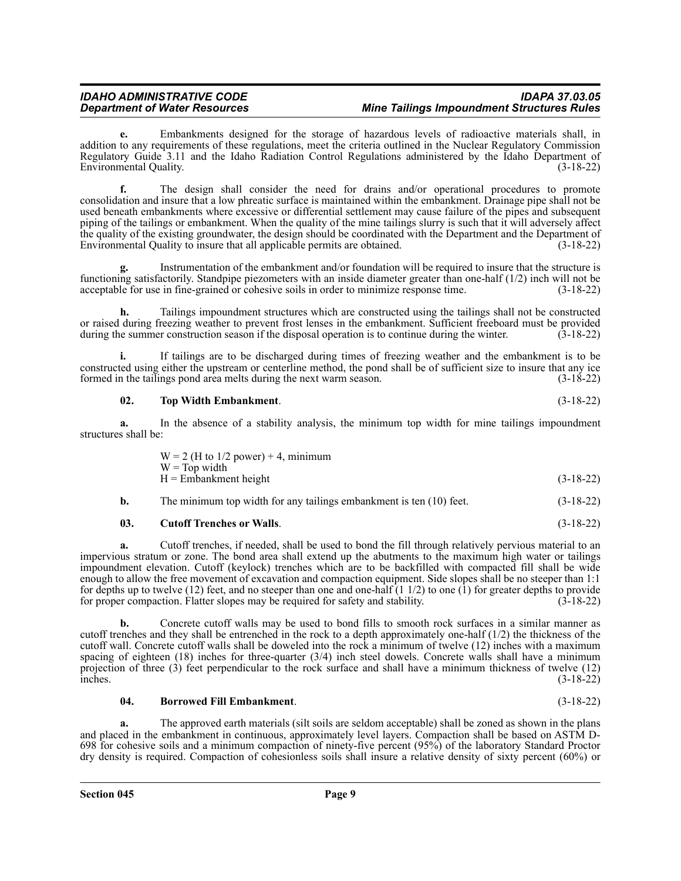### *IDAHO ADMINISTRATIVE CODE IDAPA 37.03.05 Mine Tailings Impoundment Structures Rules*

**e.** Embankments designed for the storage of hazardous levels of radioactive materials shall, in addition to any requirements of these regulations, meet the criteria outlined in the Nuclear Regulatory Commission Regulatory Guide 3.11 and the Idaho Radiation Control Regulations administered by the Idaho Department of Environmental Quality. (3-18-22)

**f.** The design shall consider the need for drains and/or operational procedures to promote consolidation and insure that a low phreatic surface is maintained within the embankment. Drainage pipe shall not be used beneath embankments where excessive or differential settlement may cause failure of the pipes and subsequent piping of the tailings or embankment. When the quality of the mine tailings slurry is such that it will adversely affect the quality of the existing groundwater, the design should be coordinated with the Department and the Department of Environmental Quality to insure that all applicable permits are obtained. (3-18-22)

**g.** Instrumentation of the embankment and/or foundation will be required to insure that the structure is functioning satisfactorily. Standpipe piezometers with an inside diameter greater than one-half (1/2) inch will not be acceptable for use in fine-grained or cohesive soils in order to minimize response time. (3-18-22)

**h.** Tailings impoundment structures which are constructed using the tailings shall not be constructed or raised during freezing weather to prevent frost lenses in the embankment. Sufficient freeboard must be provided during the summer construction season if the disposal operation is to continue during the winter. (3-18-22)

**i.** If tailings are to be discharged during times of freezing weather and the embankment is to be constructed using either the upstream or centerline method, the pond shall be of sufficient size to insure that any ice formed in the tailings pond area melts during the next warm season.

### **02. Top Width Embankment**. (3-18-22)

**a.** In the absence of a stability analysis, the minimum top width for mine tailings impoundment structures shall be:

| $W = 2$ (H to 1/2 power) + 4, minimum |             |
|---------------------------------------|-------------|
| $W = Top$ width                       |             |
| H = Embankment height                 | $(3-18-22)$ |
|                                       |             |

| b. | The minimum top width for any tailings embankment is ten (10) feet. |  |  |  |  |  | $(3-18-22)$ |
|----|---------------------------------------------------------------------|--|--|--|--|--|-------------|
|----|---------------------------------------------------------------------|--|--|--|--|--|-------------|

### **03. Cutoff Trenches or Walls**. (3-18-22)

**a.** Cutoff trenches, if needed, shall be used to bond the fill through relatively pervious material to an impervious stratum or zone. The bond area shall extend up the abutments to the maximum high water or tailings impoundment elevation. Cutoff (keylock) trenches which are to be backfilled with compacted fill shall be wide enough to allow the free movement of excavation and compaction equipment. Side slopes shall be no steeper than 1:1 for depths up to twelve  $(12)$  feet, and no steeper than one and one-half  $(1 1/2)$  to one  $(1)$  for greater depths to provide for proper compaction. Flatter slopes may be required for safety and stability. (3-18-22)

**b.** Concrete cutoff walls may be used to bond fills to smooth rock surfaces in a similar manner as cutoff trenches and they shall be entrenched in the rock to a depth approximately one-half (1/2) the thickness of the cutoff wall. Concrete cutoff walls shall be doweled into the rock a minimum of twelve (12) inches with a maximum spacing of eighteen  $(18)$  inches for three-quarter  $(3/4)$  inch steel dowels. Concrete walls shall have a minimum projection of three (3) feet perpendicular to the rock surface and shall have a minimum thickness of twelve (12) inches. (3-18-22) inches. (3-18-22)

### **04. Borrowed Fill Embankment**. (3-18-22)

**a.** The approved earth materials (silt soils are seldom acceptable) shall be zoned as shown in the plans and placed in the embankment in continuous, approximately level layers. Compaction shall be based on ASTM D-698 for cohesive soils and a minimum compaction of ninety-five percent (95%) of the laboratory Standard Proctor dry density is required. Compaction of cohesionless soils shall insure a relative density of sixty percent (60%) or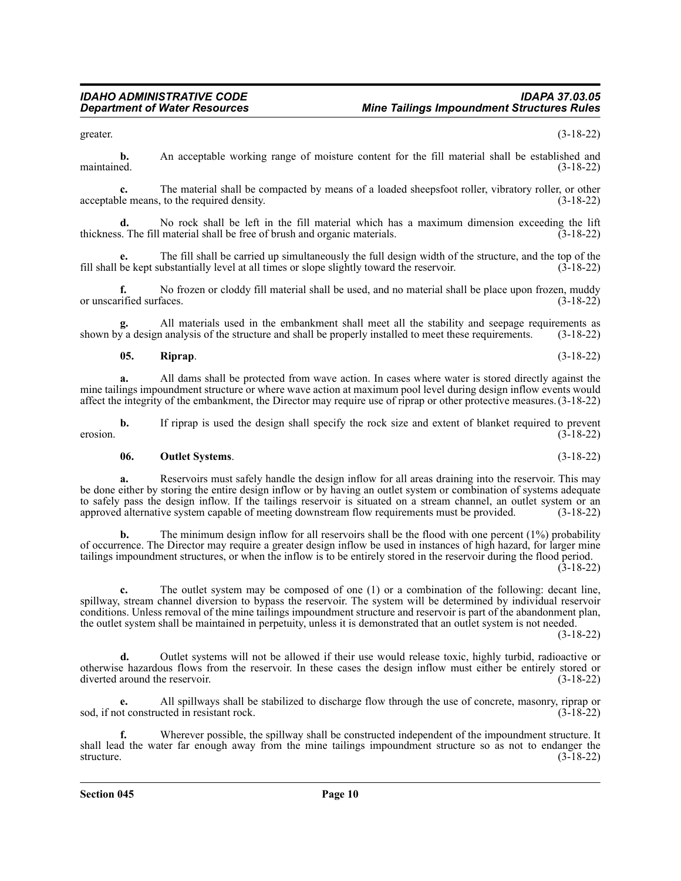greater.  $(3-18-22)$ 

**b.** An acceptable working range of moisture content for the fill material shall be established and maintained. (3-18-22) maintained. (3-18-22)

**c.** The material shall be compacted by means of a loaded sheepsfoot roller, vibratory roller, or other le means, to the required density. (3-18-22) acceptable means, to the required density.

**d.** No rock shall be left in the fill material which has a maximum dimension exceeding the lift thickness. The fill material shall be free of brush and organic materials. (3-18-22)

**e.** The fill shall be carried up simultaneously the full design width of the structure, and the top of the be kept substantially level at all times or slope slightly toward the reservoir. (3-18-22) fill shall be kept substantially level at all times or slope slightly toward the reservoir.

**f.** No frozen or cloddy fill material shall be used, and no material shall be place upon frozen, muddy rified surfaces. (3-18-22) or unscarified surfaces.

**g.** All materials used in the embankment shall meet all the stability and seepage requirements as shown by a design analysis of the structure and shall be properly installed to meet these requirements. (3-18-22)

**05. Riprap**. (3-18-22)

**a.** All dams shall be protected from wave action. In cases where water is stored directly against the mine tailings impoundment structure or where wave action at maximum pool level during design inflow events would affect the integrity of the embankment, the Director may require use of riprap or other protective measures. (3-18-22)

**b.** If riprap is used the design shall specify the rock size and extent of blanket required to prevent (3-18-22) erosion. (3-18-22)

**06. Outlet Systems**. (3-18-22)

**a.** Reservoirs must safely handle the design inflow for all areas draining into the reservoir. This may be done either by storing the entire design inflow or by having an outlet system or combination of systems adequate to safely pass the design inflow. If the tailings reservoir is situated on a stream channel, an outlet system or an approved alternative system capable of meeting downstream flow requirements must be provided. (3-18-22) approved alternative system capable of meeting downstream flow requirements must be provided.

**b.** The minimum design inflow for all reservoirs shall be the flood with one percent (1%) probability of occurrence. The Director may require a greater design inflow be used in instances of high hazard, for larger mine tailings impoundment structures, or when the inflow is to be entirely stored in the reservoir during the flood period.  $(3-18-22)$ 

**c.** The outlet system may be composed of one (1) or a combination of the following: decant line, spillway, stream channel diversion to bypass the reservoir. The system will be determined by individual reservoir conditions. Unless removal of the mine tailings impoundment structure and reservoir is part of the abandonment plan, the outlet system shall be maintained in perpetuity, unless it is demonstrated that an outlet system is not needed.

(3-18-22)

**d.** Outlet systems will not be allowed if their use would release toxic, highly turbid, radioactive or otherwise hazardous flows from the reservoir. In these cases the design inflow must either be entirely stored or diverted around the reservoir.

**e.** All spillways shall be stabilized to discharge flow through the use of concrete, masonry, riprap or sod, if not constructed in resistant rock. (3-18-22)

**f.** Wherever possible, the spillway shall be constructed independent of the impoundment structure. It shall lead the water far enough away from the mine tailings impoundment structure so as not to endanger the structure. (3-18-22)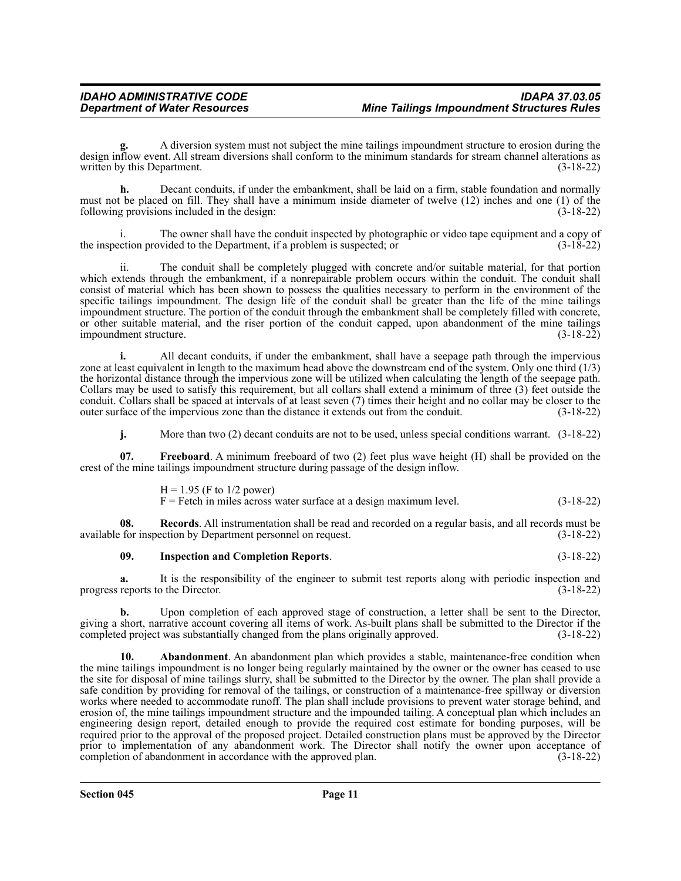**g.** A diversion system must not subject the mine tailings impoundment structure to erosion during the design inflow event. All stream diversions shall conform to the minimum standards for stream channel alterations as written by this Department. (3-18-22) written by this Department.

**h.** Decant conduits, if under the embankment, shall be laid on a firm, stable foundation and normally must not be placed on fill. They shall have a minimum inside diameter of twelve (12) inches and one (1) of the following provisions included in the design: (3-18-22)

The owner shall have the conduit inspected by photographic or video tape equipment and a copy of the inspection provided to the Department, if a problem is suspected; or  $(3-18-22)$ 

ii. The conduit shall be completely plugged with concrete and/or suitable material, for that portion which extends through the embankment, if a nonrepairable problem occurs within the conduit. The conduit shall consist of material which has been shown to possess the qualities necessary to perform in the environment of the specific tailings impoundment. The design life of the conduit shall be greater than the life of the mine tailings impoundment structure. The portion of the conduit through the embankment shall be completely filled with concrete, or other suitable material, and the riser portion of the conduit capped, upon abandonment of the mine tailings impoundment structure. (3-18-22)

**i.** All decant conduits, if under the embankment, shall have a seepage path through the impervious zone at least equivalent in length to the maximum head above the downstream end of the system. Only one third (1/3) the horizontal distance through the impervious zone will be utilized when calculating the length of the seepage path. Collars may be used to satisfy this requirement, but all collars shall extend a minimum of three (3) feet outside the conduit. Collars shall be spaced at intervals of at least seven (7) times their height and no collar may be closer to the outer surface of the impervious zone than the distance it extends out from the conduit. (3-18-22) outer surface of the impervious zone than the distance it extends out from the conduit.

**j.** More than two (2) decant conduits are not to be used, unless special conditions warrant. (3-18-22)

**07. Freeboard**. A minimum freeboard of two (2) feet plus wave height (H) shall be provided on the crest of the mine tailings impoundment structure during passage of the design inflow.

> $H = 1.95$  (F to 1/2 power)  $F =$  Fetch in miles across water surface at a design maximum level.  $(3-18-22)$

**08.** Records. All instrumentation shall be read and recorded on a regular basis, and all records must be for inspection by Department personnel on request. (3-18-22) available for inspection by Department personnel on request.

### **09. Inspection and Completion Reports**. (3-18-22)

**a.** It is the responsibility of the engineer to submit test reports along with periodic inspection and progress reports to the Director. (3-18-22)

**b.** Upon completion of each approved stage of construction, a letter shall be sent to the Director, giving a short, narrative account covering all items of work. As-built plans shall be submitted to the Director if the completed project was substantially changed from the plans originally approved. (3-18-22) completed project was substantially changed from the plans originally approved.

**10. Abandonment**. An abandonment plan which provides a stable, maintenance-free condition when the mine tailings impoundment is no longer being regularly maintained by the owner or the owner has ceased to use the site for disposal of mine tailings slurry, shall be submitted to the Director by the owner. The plan shall provide a safe condition by providing for removal of the tailings, or construction of a maintenance-free spillway or diversion works where needed to accommodate runoff. The plan shall include provisions to prevent water storage behind, and erosion of, the mine tailings impoundment structure and the impounded tailing. A conceptual plan which includes an engineering design report, detailed enough to provide the required cost estimate for bonding purposes, will be required prior to the approval of the proposed project. Detailed construction plans must be approved by the Director prior to implementation of any abandonment work. The Director shall notify the owner upon acceptance of completion of abandonment in accordance with the approved plan. (3-18-22)